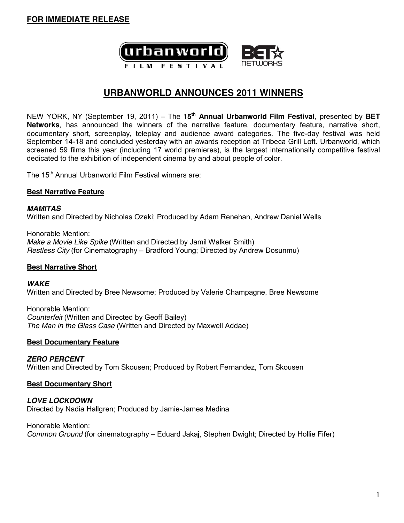

# **URBANWORLD ANNOUNCES 2011 WINNERS**

NEW YORK, NY (September 19, 2011) – The 15<sup>th</sup> Annual Urbanworld Film Festival, presented by BET **Networks**, has announced the winners of the narrative feature, documentary feature, narrative short, documentary short, screenplay, teleplay and audience award categories. The five-day festival was held September 14-18 and concluded yesterday with an awards reception at Tribeca Grill Loft. Urbanworld, which screened 59 films this year (including 17 world premieres), is the largest internationally competitive festival dedicated to the exhibition of independent cinema by and about people of color.

The 15<sup>th</sup> Annual Urbanworld Film Festival winners are:

#### **Best Narrative Feature**

*MAMITAS* Written and Directed by Nicholas Ozeki; Produced by Adam Renehan, Andrew Daniel Wells

Honorable Mention: *Make a Movie Like Spike* (Written and Directed by Jamil Walker Smith) *Restless City* (for Cinematography – Bradford Young; Directed by Andrew Dosunmu)

#### **Best Narrative Short**

#### *WAKE*

Written and Directed by Bree Newsome; Produced by Valerie Champagne, Bree Newsome

Honorable Mention: *Counterfeit* (Written and Directed by Geoff Bailey) *The Man in the Glass Case* (Written and Directed by Maxwell Addae)

#### **Best Documentary Feature**

*ZERO PERCENT* Written and Directed by Tom Skousen; Produced by Robert Fernandez, Tom Skousen

#### **Best Documentary Short**

*LOVE LOCKDOWN* Directed by Nadia Hallgren; Produced by Jamie-James Medina

Honorable Mention: *Common Ground* (for cinematography – Eduard Jakaj, Stephen Dwight; Directed by Hollie Fifer)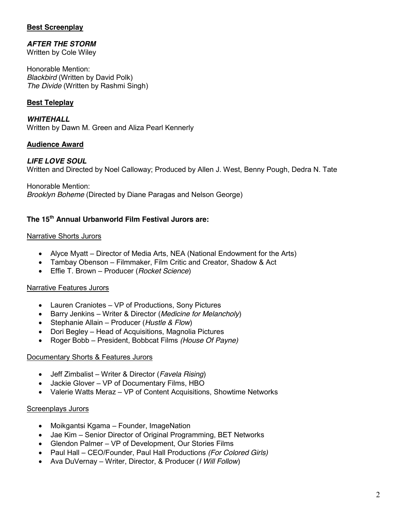## **Best Screenplay**

# *AFTER THE STORM*

Written by Cole Wiley

Honorable Mention: *Blackbird* (Written by David Polk) *The Divide* (Written by Rashmi Singh)

# **Best Teleplay**

*WHITEHALL* Written by Dawn M. Green and Aliza Pearl Kennerly

## **Audience Award**

## *LIFE LOVE SOUL*

Written and Directed by Noel Calloway; Produced by Allen J. West, Benny Pough, Dedra N. Tate

Honorable Mention:

*Brooklyn Boheme* (Directed by Diane Paragas and Nelson George)

# **The 15th Annual Urbanworld Film Festival Jurors are:**

### Narrative Shorts Jurors

- Alyce Myatt Director of Media Arts, NEA (National Endowment for the Arts)
- Tambay Obenson Filmmaker, Film Critic and Creator, Shadow & Act
- **Effie T. Brown Producer (***Rocket Science***)**

#### Narrative Features Jurors

- $\bullet$  Lauren Craniotes VP of Productions, Sony Pictures
- **EXECT:** Barry Jenkins Writer & Director (*Medicine for Melancholy*)
- Stephanie Allain Producer (*Hustle & Flow*)
- Dori Begley Head of Acquisitions, Magnolia Pictures
- Roger Bobb President, Bobbcat Films *(House Of Payne)*

## Documentary Shorts & Features Jurors

- Jeff Zimbalist Writer & Director (*Favela Rising*)
- $\bullet$  Jackie Glover VP of Documentary Films, HBO
- Valerie Watts Meraz VP of Content Acquisitions, Showtime Networks

## Screenplays Jurors

- $\bullet$  Moikgantsi Kgama Founder, ImageNation
- Jae Kim Senior Director of Original Programming, BET Networks
- Glendon Palmer VP of Development, Our Stories Films
- Paul Hall CEO/Founder, Paul Hall Productions *(For Colored Girls)*
- **•** Ava DuVernay Writer, Director, & Producer (*I Will Follow*)